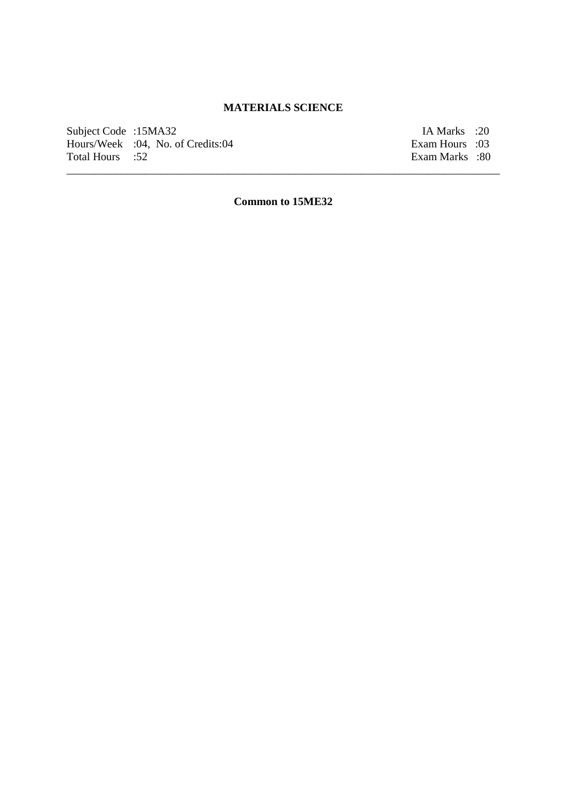### **MATERIALS SCIENCE**

Subject Code :15MA32 IA Marks :20 Hours/Week :04, No. of Credits:04 Exam Hours :03 Total Hours :52 Exam Marks :80

**Common to 15ME32**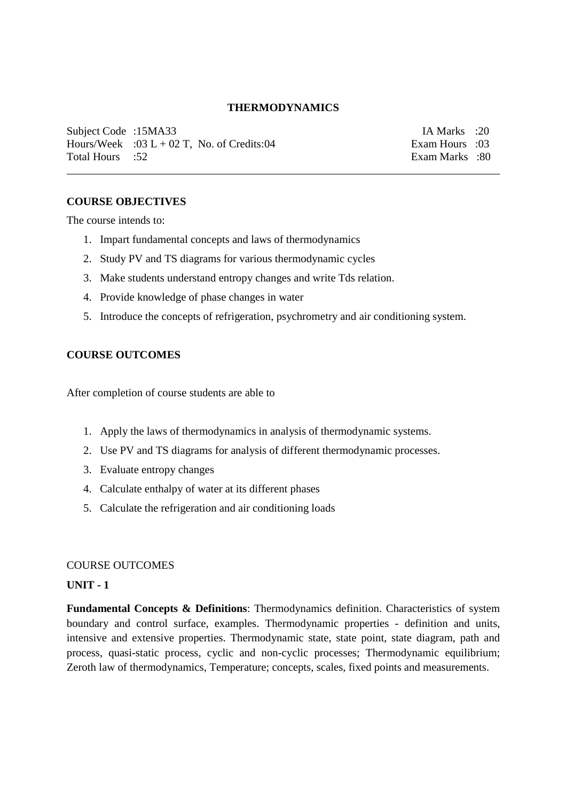### **THERMODYNAMICS**

\_\_\_\_\_\_\_\_\_\_\_\_\_\_\_\_\_\_\_\_\_\_\_\_\_\_\_\_\_\_\_\_\_\_\_\_\_\_\_\_\_\_\_\_\_\_\_\_\_\_\_\_\_\_\_\_\_\_\_\_\_\_\_\_\_\_\_\_\_\_\_\_\_\_\_\_\_\_

Subject Code :15MA33 IA Marks :20 Hours/Week :03 L + 02 T, No. of Credits:04 Exam Hours :03<br>Total Hours :52 Exam Marks :80

Exam Marks :80

### **COURSE OBJECTIVES**

The course intends to:

- 1. Impart fundamental concepts and laws of thermodynamics
- 2. Study PV and TS diagrams for various thermodynamic cycles
- 3. Make students understand entropy changes and write Tds relation.
- 4. Provide knowledge of phase changes in water
- 5. Introduce the concepts of refrigeration, psychrometry and air conditioning system.

#### **COURSE OUTCOMES**

After completion of course students are able to

- 1. Apply the laws of thermodynamics in analysis of thermodynamic systems.
- 2. Use PV and TS diagrams for analysis of different thermodynamic processes.
- 3. Evaluate entropy changes
- 4. Calculate enthalpy of water at its different phases
- 5. Calculate the refrigeration and air conditioning loads

### COURSE OUTCOMES

#### **UNIT - 1**

**Fundamental Concepts & Definitions**: Thermodynamics definition. Characteristics of system boundary and control surface, examples. Thermodynamic properties - definition and units, intensive and extensive properties. Thermodynamic state, state point, state diagram, path and process, quasi-static process, cyclic and non-cyclic processes; Thermodynamic equilibrium; Zeroth law of thermodynamics, Temperature; concepts, scales, fixed points and measurements.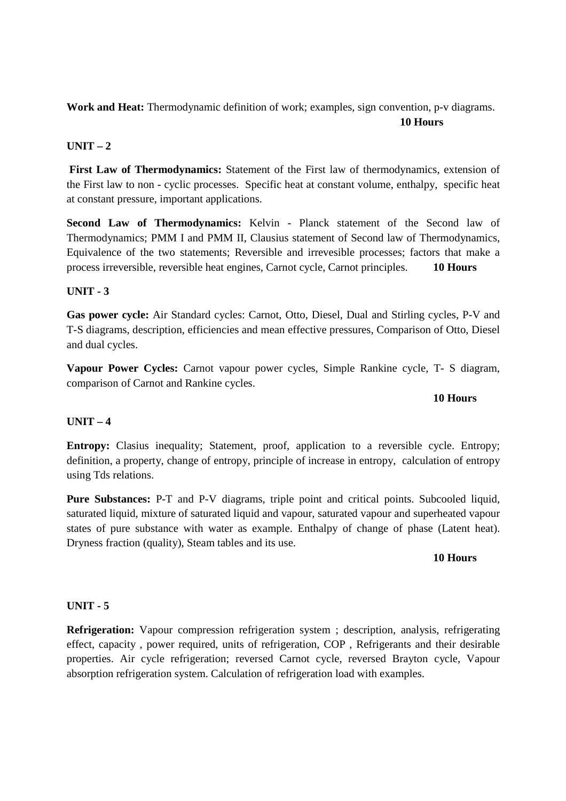**Work and Heat:** Thermodynamic definition of work; examples, sign convention, p-v diagrams.

# **10 Hours**

# **UNIT – 2**

**First Law of Thermodynamics:** Statement of the First law of thermodynamics, extension of the First law to non - cyclic processes. Specific heat at constant volume, enthalpy, specific heat at constant pressure, important applications.

**Second Law of Thermodynamics:** Kelvin - Planck statement of the Second law of Thermodynamics; PMM I and PMM II, Clausius statement of Second law of Thermodynamics, Equivalence of the two statements; Reversible and irrevesible processes; factors that make a process irreversible, reversible heat engines, Carnot cycle, Carnot principles. **10 Hours**

## **UNIT - 3**

**Gas power cycle:** Air Standard cycles: Carnot, Otto, Diesel, Dual and Stirling cycles, P-V and T-S diagrams, description, efficiencies and mean effective pressures, Comparison of Otto, Diesel and dual cycles.

**Vapour Power Cycles:** Carnot vapour power cycles, Simple Rankine cycle, T- S diagram, comparison of Carnot and Rankine cycles.

## **10 Hours**

## **UNIT – 4**

**Entropy:** Clasius inequality; Statement, proof, application to a reversible cycle. Entropy; definition, a property, change of entropy, principle of increase in entropy, calculation of entropy using Tds relations.

**Pure Substances:** P-T and P-V diagrams, triple point and critical points. Subcooled liquid, saturated liquid, mixture of saturated liquid and vapour, saturated vapour and superheated vapour states of pure substance with water as example. Enthalpy of change of phase (Latent heat). Dryness fraction (quality), Steam tables and its use.

# **10 Hours**

# **UNIT - 5**

**Refrigeration:** Vapour compression refrigeration system ; description, analysis, refrigerating effect, capacity , power required, units of refrigeration, COP , Refrigerants and their desirable properties. Air cycle refrigeration; reversed Carnot cycle, reversed Brayton cycle, Vapour absorption refrigeration system. Calculation of refrigeration load with examples.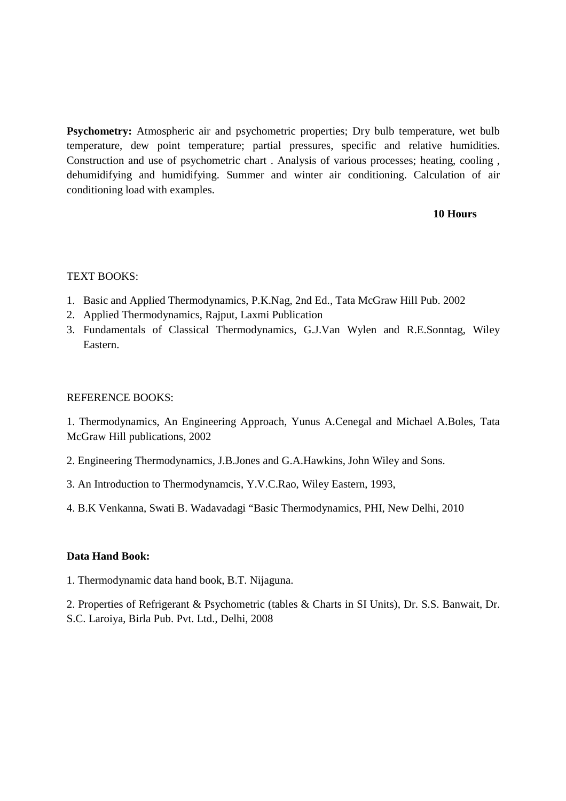**Psychometry:** Atmospheric air and psychometric properties; Dry bulb temperature, wet bulb temperature, dew point temperature; partial pressures, specific and relative humidities. Construction and use of psychometric chart . Analysis of various processes; heating, cooling , dehumidifying and humidifying. Summer and winter air conditioning. Calculation of air conditioning load with examples.

## **10 Hours**

## TEXT BOOKS:

- 1. Basic and Applied Thermodynamics, P.K.Nag, 2nd Ed., Tata McGraw Hill Pub. 2002
- 2. Applied Thermodynamics, Rajput, Laxmi Publication
- 3. Fundamentals of Classical Thermodynamics, G.J.Van Wylen and R.E.Sonntag, Wiley Eastern.

## REFERENCE BOOKS:

1. Thermodynamics, An Engineering Approach, Yunus A.Cenegal and Michael A.Boles, Tata McGraw Hill publications, 2002

- 2. Engineering Thermodynamics, J.B.Jones and G.A.Hawkins, John Wiley and Sons.
- 3. An Introduction to Thermodynamcis, Y.V.C.Rao, Wiley Eastern, 1993,
- 4. B.K Venkanna, Swati B. Wadavadagi "Basic Thermodynamics, PHI, New Delhi, 2010

## **Data Hand Book:**

1. Thermodynamic data hand book, B.T. Nijaguna.

2. Properties of Refrigerant & Psychometric (tables & Charts in SI Units), Dr. S.S. Banwait, Dr. S.C. Laroiya, Birla Pub. Pvt. Ltd., Delhi, 2008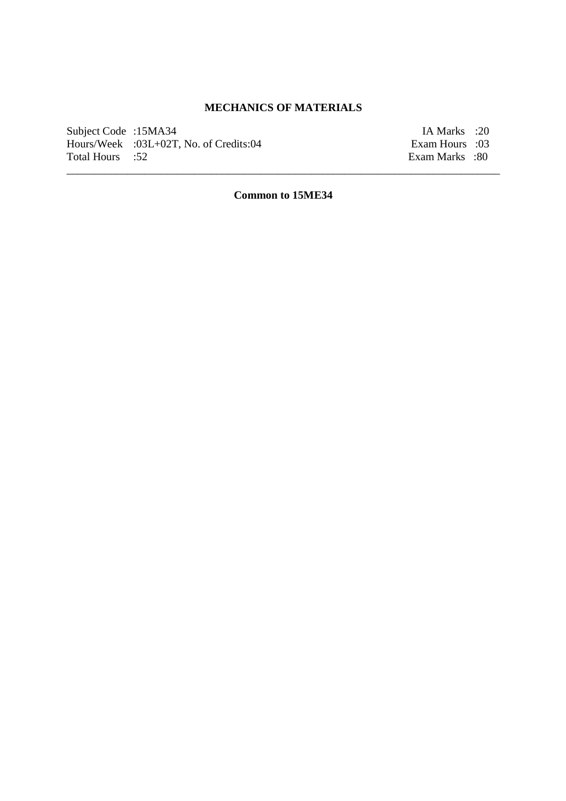# **MECHANICS OF MATERIALS**

Subject Code :15MA34 IA Marks :20<br>
Hours/Week :03L+02T, No. of Credits:04 Exam Hours :03 Hours/Week :03L+02T, No. of Credits:04<br>Total Hours :52

Exam Marks :80

**Common to 15ME34**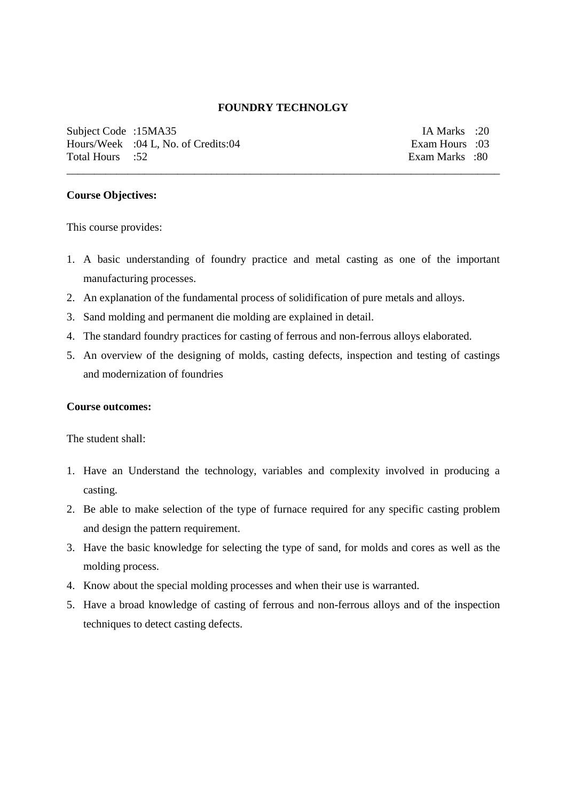### **FOUNDRY TECHNOLGY**

\_\_\_\_\_\_\_\_\_\_\_\_\_\_\_\_\_\_\_\_\_\_\_\_\_\_\_\_\_\_\_\_\_\_\_\_\_\_\_\_\_\_\_\_\_\_\_\_\_\_\_\_\_\_\_\_\_\_\_\_\_\_\_\_\_\_\_\_\_\_\_\_\_\_\_\_\_\_

Subject Code :15MA35 IA Marks :20 Hours/Week :04 L, No. of Credits:04 Exam Hours :03 Total Hours :52 Exam Marks :80

## **Course Objectives:**

This course provides:

- 1. A basic understanding of foundry practice and metal casting as one of the important manufacturing processes.
- 2. An explanation of the fundamental process of solidification of pure metals and alloys.
- 3. Sand molding and permanent die molding are explained in detail.
- 4. The standard foundry practices for casting of ferrous and non-ferrous alloys elaborated.
- 5. An overview of the designing of molds, casting defects, inspection and testing of castings and modernization of foundries

#### **Course outcomes:**

The student shall:

- 1. Have an Understand the technology, variables and complexity involved in producing a casting.
- 2. Be able to make selection of the type of furnace required for any specific casting problem and design the pattern requirement.
- 3. Have the basic knowledge for selecting the type of sand, for molds and cores as well as the molding process.
- 4. Know about the special molding processes and when their use is warranted.
- 5. Have a broad knowledge of casting of ferrous and non-ferrous alloys and of the inspection techniques to detect casting defects.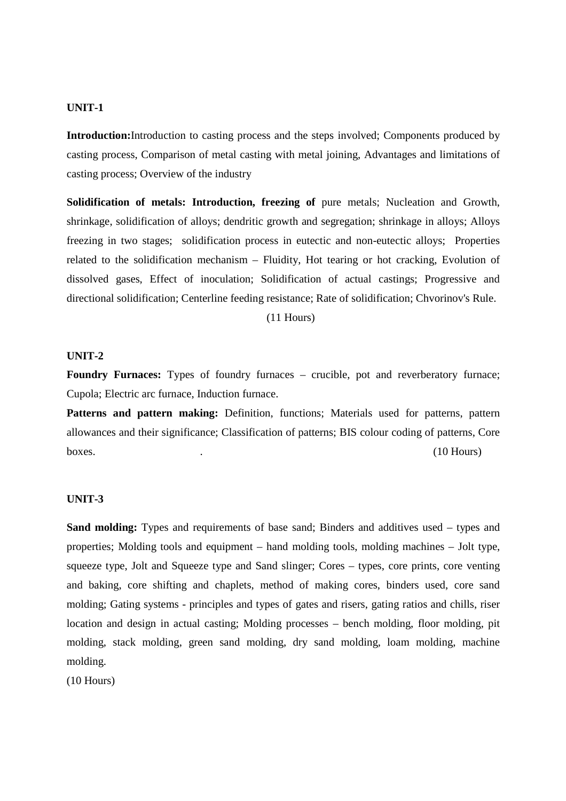### **UNIT-1**

**Introduction:**Introduction to casting process and the steps involved; Components produced by casting process, Comparison of metal casting with metal joining, Advantages and limitations of casting process; Overview of the industry

**Solidification of metals: Introduction, freezing of** pure metals; Nucleation and Growth, shrinkage, solidification of alloys; dendritic growth and segregation; shrinkage in alloys; Alloys freezing in two stages; solidification process in eutectic and non-eutectic alloys; Properties related to the solidification mechanism – Fluidity, Hot tearing or hot cracking, Evolution of dissolved gases, Effect of inoculation; Solidification of actual castings; Progressive and directional solidification; Centerline feeding resistance; Rate of solidification; Chvorinov's Rule.

(11 Hours)

#### **UNIT-2**

Foundry Furnaces: Types of foundry furnaces – crucible, pot and reverberatory furnace; Cupola; Electric arc furnace, Induction furnace.

Patterns and pattern making: Definition, functions; Materials used for patterns, pattern allowances and their significance; Classification of patterns; BIS colour coding of patterns, Core boxes. (10 Hours) and the contract of the contract of the contract of the contract of the contract of the contract of the contract of the contract of the contract of the contract of the contract of the contract of the cont

#### **UNIT-3**

**Sand molding:** Types and requirements of base sand; Binders and additives used – types and properties; Molding tools and equipment – hand molding tools, molding machines – Jolt type, squeeze type, Jolt and Squeeze type and Sand slinger; Cores – types, core prints, core venting and baking, core shifting and chaplets, method of making cores, binders used, core sand molding; Gating systems - principles and types of gates and risers, gating ratios and chills, riser location and design in actual casting; Molding processes – bench molding, floor molding, pit molding, stack molding, green sand molding, dry sand molding, loam molding, machine molding.

(10 Hours)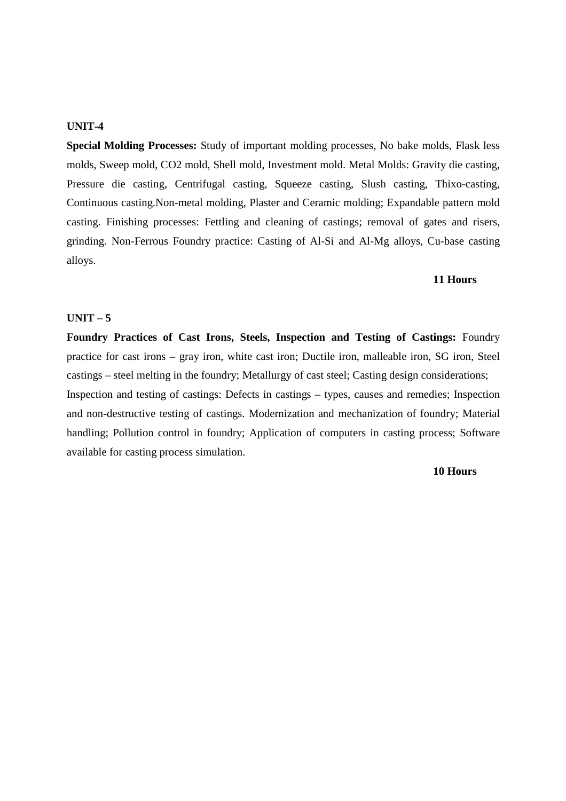#### **UNIT-4**

**Special Molding Processes:** Study of important molding processes, No bake molds, Flask less molds, Sweep mold, CO2 mold, Shell mold, Investment mold. Metal Molds: Gravity die casting, Pressure die casting, Centrifugal casting, Squeeze casting, Slush casting, Thixo-casting, Continuous casting.Non-metal molding, Plaster and Ceramic molding; Expandable pattern mold casting. Finishing processes: Fettling and cleaning of castings; removal of gates and risers, grinding. Non-Ferrous Foundry practice: Casting of Al-Si and Al-Mg alloys, Cu-base casting alloys.

#### **11 Hours**

## **UNIT – 5**

**Foundry Practices of Cast Irons, Steels, Inspection and Testing of Castings:** Foundry practice for cast irons – gray iron, white cast iron; Ductile iron, malleable iron, SG iron, Steel castings – steel melting in the foundry; Metallurgy of cast steel; Casting design considerations; Inspection and testing of castings: Defects in castings – types, causes and remedies; Inspection and non-destructive testing of castings. Modernization and mechanization of foundry; Material handling; Pollution control in foundry; Application of computers in casting process; Software available for casting process simulation.

#### **10 Hours**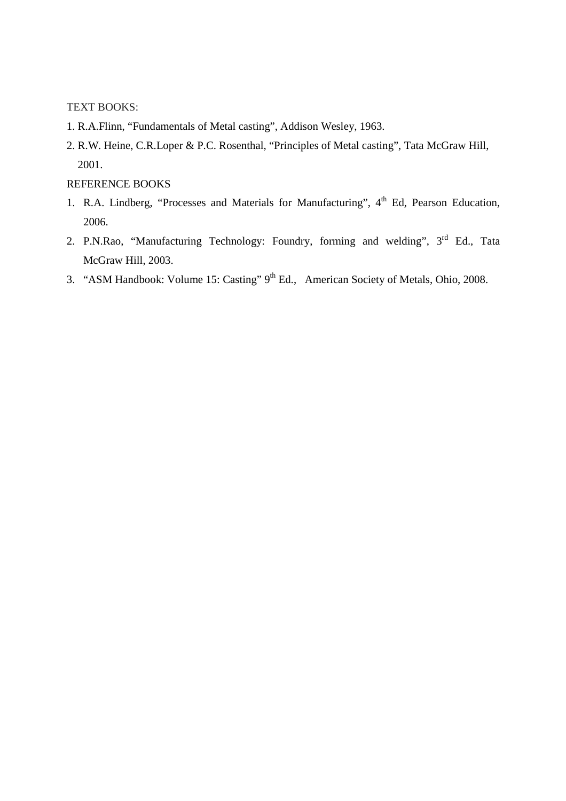TEXT BOOKS:

- 1. R.A.Flinn, "Fundamentals of Metal casting", Addison Wesley, 1963.
- 2. R.W. Heine, C.R.Loper & P.C. Rosenthal, "Principles of Metal casting", Tata McGraw Hill, 2001.

## REFERENCE BOOKS

- 1. R.A. Lindberg, "Processes and Materials for Manufacturing", 4<sup>th</sup> Ed, Pearson Education, 2006.
- 2. P.N.Rao, "Manufacturing Technology: Foundry, forming and welding", 3<sup>rd</sup> Ed., Tata McGraw Hill, 2003.
- 3. "ASM Handbook: Volume 15: Casting" 9<sup>th</sup> Ed., American Society of Metals, Ohio, 2008.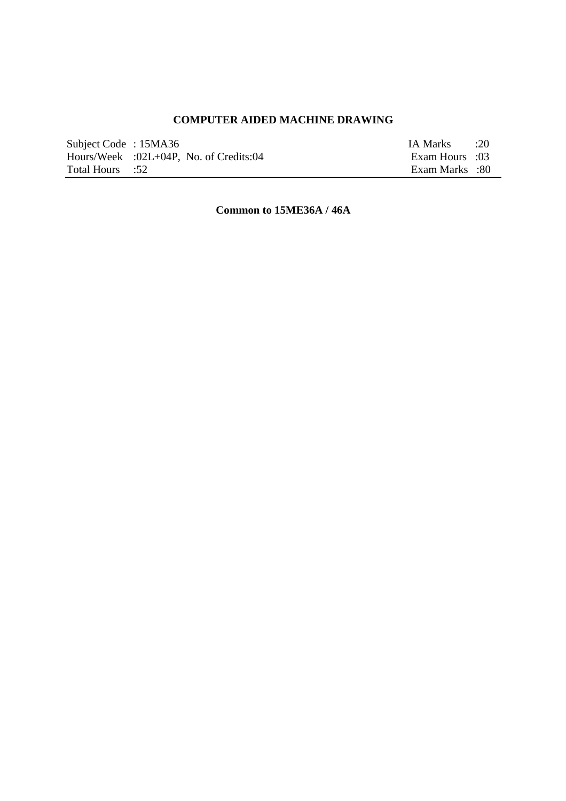# **COMPUTER AIDED MACHINE DRAWING**

| Subject Code: 15MA36 |                                           | IA Marks :20   |  |
|----------------------|-------------------------------------------|----------------|--|
|                      | Hours/Week $:02L+04P$ , No. of Credits:04 | Exam Hours :03 |  |
| Total Hours :52      |                                           | Exam Marks :80 |  |

**Common to 15ME36A / 46A**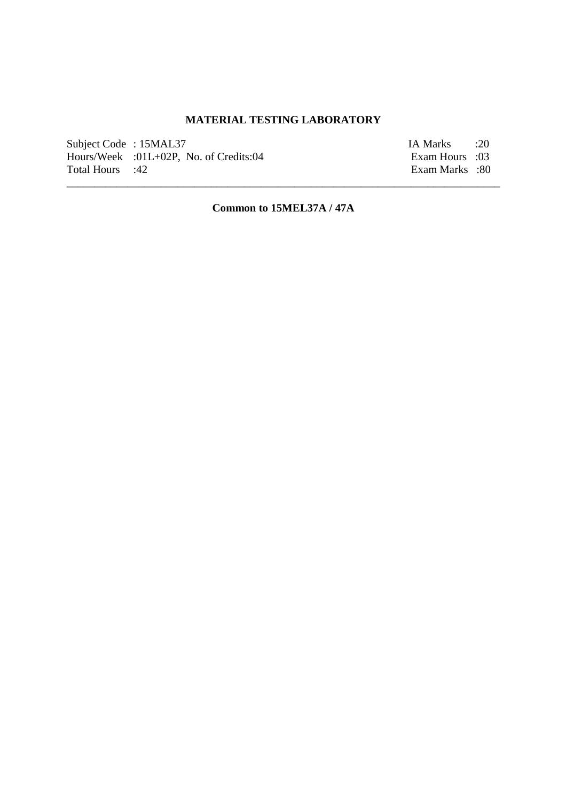# **MATERIAL TESTING LABORATORY**

| Subject Code: 15MAL37 |                                          | IA Marks :20   |  |
|-----------------------|------------------------------------------|----------------|--|
|                       | $Hours/Week$ :01L+02P, No. of Credits:04 | Exam Hours :03 |  |
| Total Hours :42       |                                          | Exam Marks :80 |  |

**Common to 15MEL37A / 47A**